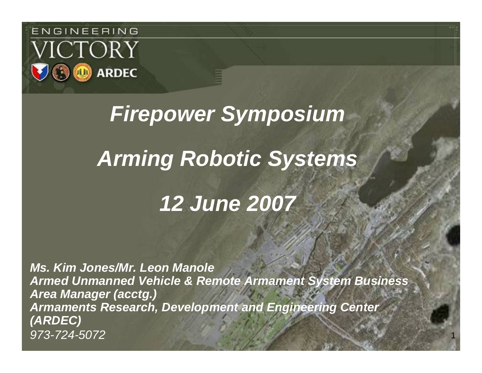

# *Firepower Symposium Arming Robotic Systems 12 June 2007*

*Ms. Kim Jones/Mr. Leon Manole Armed Unmanned Vehicle & Remote Armament System Business Area Manager (acctg.) Armaments Research, Development and Engineering Center (ARDEC) 973-724-5072*

1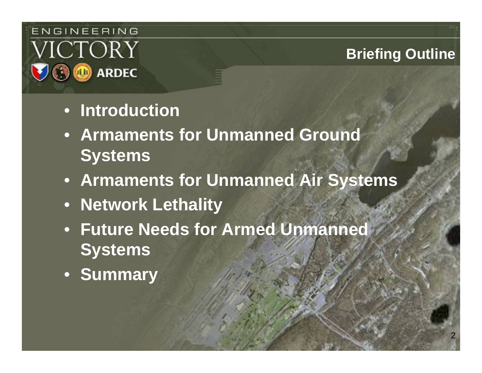#### ENGINEERING VICTORY **ARDEC**  $\circ$

### **Briefing Outline**

- **Introduction**
- **Armaments for Unmanned Ground Systems**
- **Armaments for Unmanned Air Systems**
- **Network Lethality**
- **Future Needs for Armed Unmanned Systems**
- **Summary**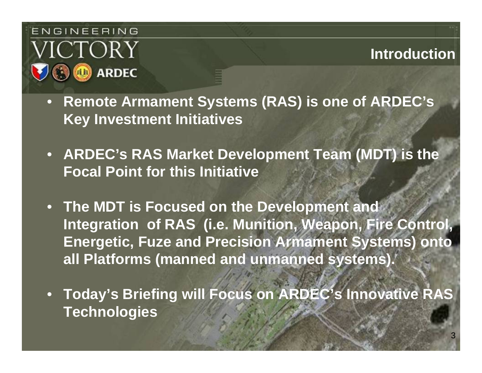

**Introduction**

- **Remote Armament Systems (RAS) is one of ARDEC's Key Investment Initiatives**
- **ARDEC's RAS Market Development Team (MDT) is the Focal Point for this Initiative**
- **The MDT is Focused on the Development and Integration of RAS (i.e. Munition, Weapon, Fire Control, Energetic, Fuze and Precision Armament Systems) onto all Platforms (manned and unmanned systems).**
- **Today's Briefing will Focus on ARDEC's Innovative RAS Technologies**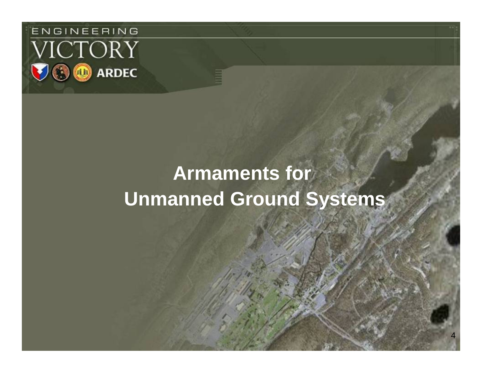

# **Armaments for Unmanned Ground Systems**

4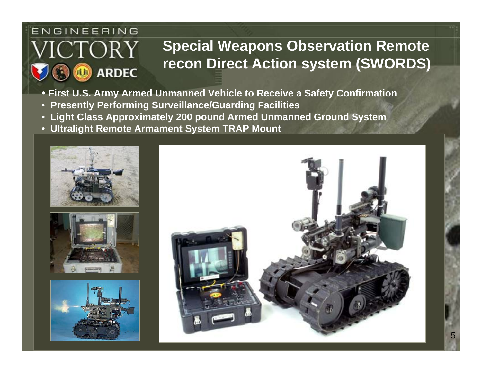#### ENGINEERING

*V*ICTORY

**ARDEC** 

### **Special Weapons Observation Remote recon Direct Action system (SWORDS)**

- **First U.S. Army Armed Unmanned Vehicle to Receive a Safety Confirmation**
- **Presently Performing Surveillance/Guarding Facilities**
- **Light Class Approximately 200 pound Armed Unmanned Ground System**
- **Ultralight Remote Armament System TRAP Mount**





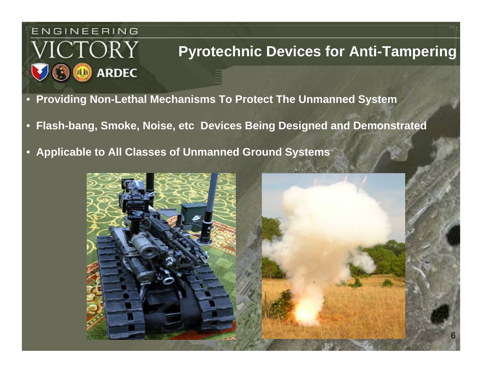# ENGINEERING *V*ICTORY **ARDEC**

#### **Pyrotechnic Devices for Anti-Tampering**

- **Providing Non-Lethal Mechanisms To Protect The Unmanned System**
- **Flash-bang, Smoke, Noise, etc Devices Being Designed and Demonstrated**
- **Applicable to All Classes of Unmanned Ground Systems**

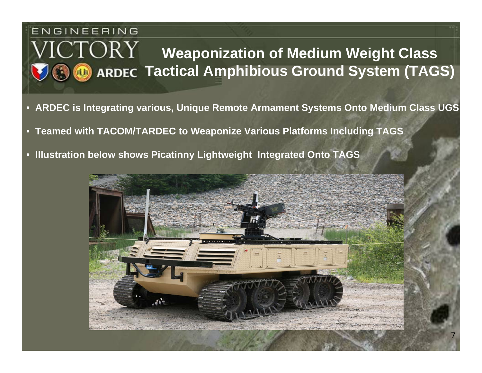#### ENGINEERING ICTORY **Weaponization of Medium Weight Class Tactical Amphibious Ground System (TAGS)**

- **ARDEC is Integrating various, Unique Remote Armament Systems Onto Medium Class UGS**
- **Teamed with TACOM/TARDEC to Weaponize Various Platforms Including TAGS**
- •**Illustration below shows Picatinny Lightweight Integrated Onto TAGS**



7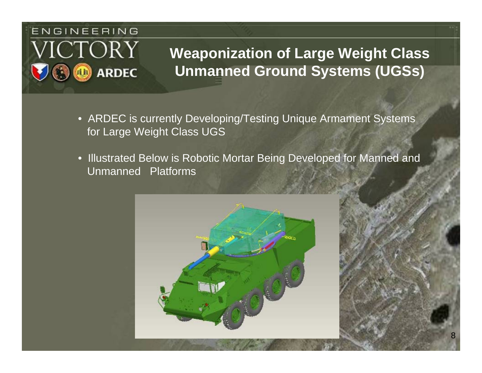# ENGINEERING 'ICTORY **ARDEC**

### **Weaponization of Large Weight Class Unmanned Ground Systems (UGSs)**

- ARDEC is currently Developing/Testing Unique Armament Systems for Large Weight Class UGS
- Illustrated Below is Robotic Mortar Being Developed for Manned and Unmanned Platforms

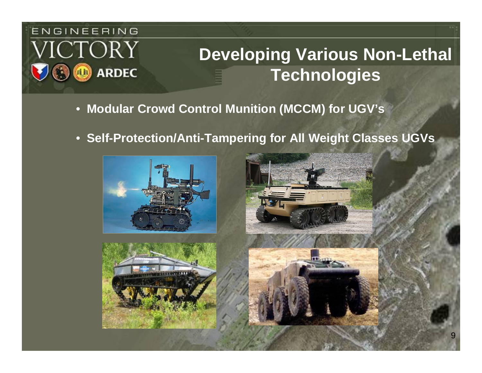# ENGINEERING ICTORY **ARDEC**

# **Developing Various Non-Lethal Technologies**

- **Modular Crowd Control Munition (MCCM) for UGV's**
- **Self-Protection/Anti-Tampering for All Weight Classes UGVs**







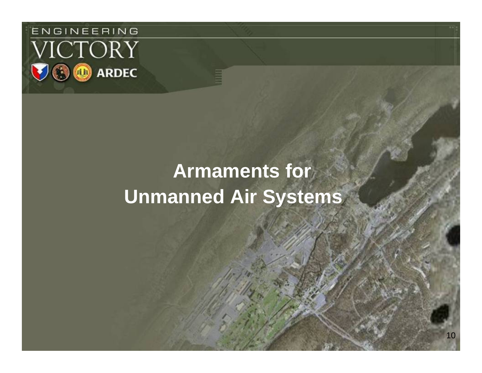

# **Armaments for Unmanned Air Systems**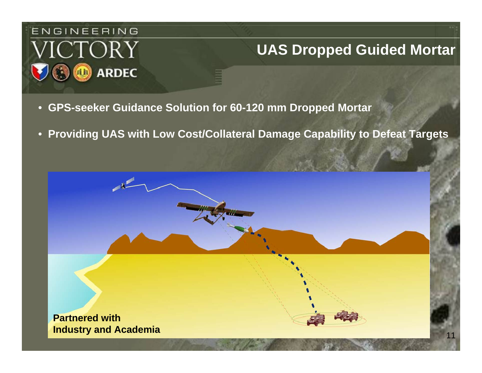

#### **UAS Dropped Guided Mortar**

- **GPS-seeker Guidance Solution for 60-120 mm Dropped Mortar**
- **Providing UAS with Low Cost/Collateral Damage Capability to Defeat Targets**

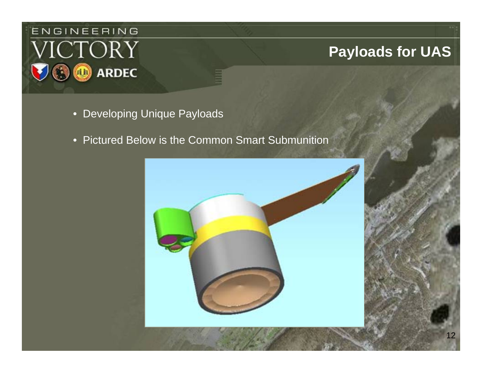

#### **Payloads for UAS**

- Developing Unique Payloads
- Pictured Below is the Common Smart Submunition

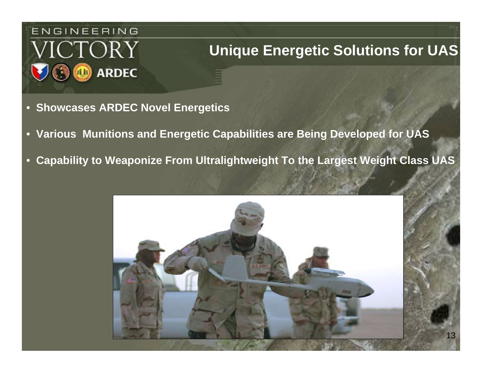

#### **Unique Energetic Solutions for UAS**

- **Showcases ARDEC Novel Energetics**
- **Various Munitions and Energetic Capabilities are Being Developed for UAS**
- **Capability to Weaponize From Ultralightweight To the Largest Weight Class UAS**

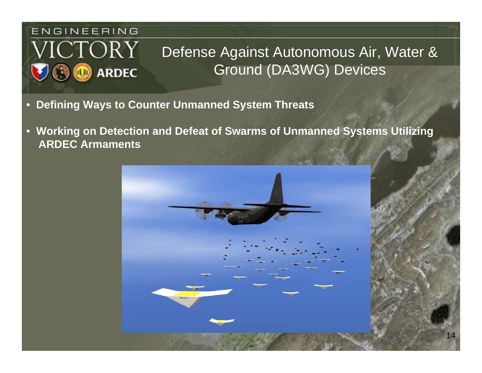# ENGINEERING VICTORY **ARDEC**

# Defense Against Autonomous Air, Water & Ground (DA3WG) Devices

- **Defining Ways to Counter Unmanned System Threats**
- **Working on Detection and Defeat of Swarms of Unmanned Systems Utilizing ARDEC Armaments**

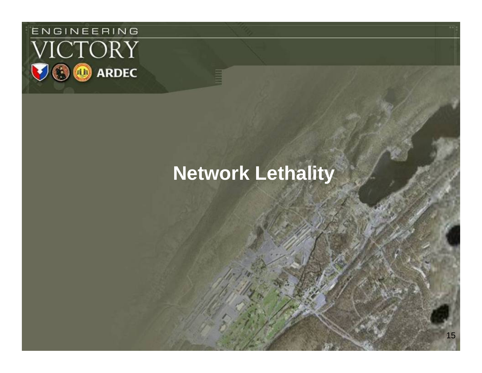

# **Network Lethality**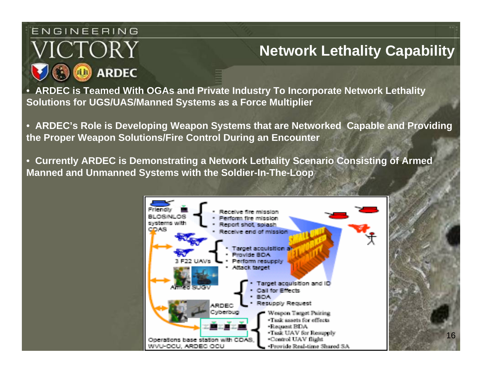#### ENGINEERING

# ICTORY **ARDEC**

# **Network Lethality Capability**

• **ARDEC is Teamed With OGAs and Private Industry To Incorporate Network Lethality Solutions for UGS/UAS/Manned Systems as a Force Multiplier** 

• **ARDEC's Role is Developing Weapon Systems that are Networked Capable and Providing the Proper Weapon Solutions/Fire Control During an Encounter**

• **Currently ARDEC is Demonstrating a Network Lethality Scenario Consisting of Armed Manned and Unmanned Systems with the Soldier-In-The-Loop**

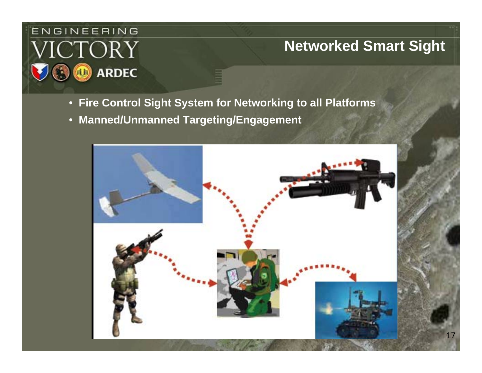# ENGINEERING **ICTORY ARDEC**

#### **Networked Smart Sight**

- **Fire Control Sight System for Networking to all Platforms**
- **Manned/Unmanned Targeting/Engagement**

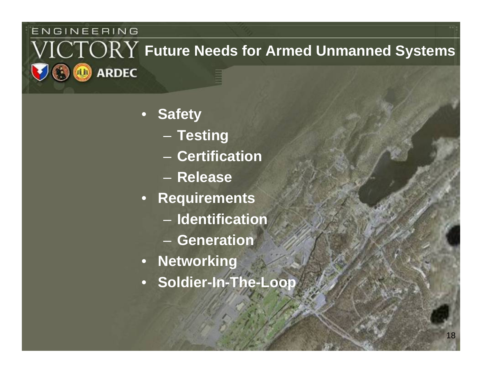#### ENGINEERING

#### $\sqrt{\text{ICTORY}}$  Future Needs for Armed Unmanned Systems **ARDEC**  $(1)$

- $\bullet$  **Safety**
	- $\sim$ **Testing**
	- **Certification**
	- **Release**
- **Requirements**
	- **Identification**
	- **Generation**
- **Networking**
- **Soldier-In-The-Loop**